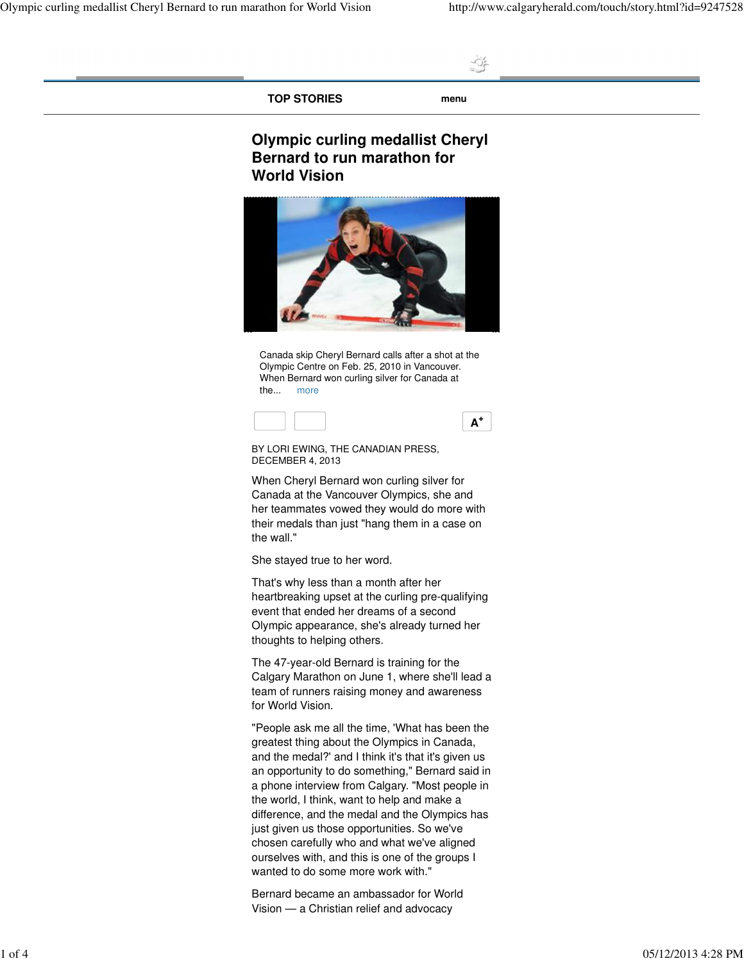**TOP STORIES menu**

4

## **Olympic curling medallist Cheryl Bernard to run marathon for World Vision**



Canada skip Cheryl Bernard calls after a shot at the Olympic Centre on Feb. 25, 2010 in Vancouver. When Bernard won curling silver for Canada at the... more



BY LORI EWING, THE CANADIAN PRESS, DECEMBER 4, 2013

When Cheryl Bernard won curling silver for Canada at the Vancouver Olympics, she and her teammates vowed they would do more with their medals than just "hang them in a case on the wall."

She stayed true to her word.

That's why less than a month after her heartbreaking upset at the curling pre-qualifying event that ended her dreams of a second Olympic appearance, she's already turned her thoughts to helping others.

The 47-year-old Bernard is training for the Calgary Marathon on June 1, where she'll lead a team of runners raising money and awareness for World Vision.

"People ask me all the time, 'What has been the greatest thing about the Olympics in Canada, and the medal?' and I think it's that it's given us an opportunity to do something," Bernard said in a phone interview from Calgary. "Most people in the world, I think, want to help and make a difference, and the medal and the Olympics has just given us those opportunities. So we've chosen carefully who and what we've aligned ourselves with, and this is one of the groups I wanted to do some more work with."

Bernard became an ambassador for World Vision — a Christian relief and advocacy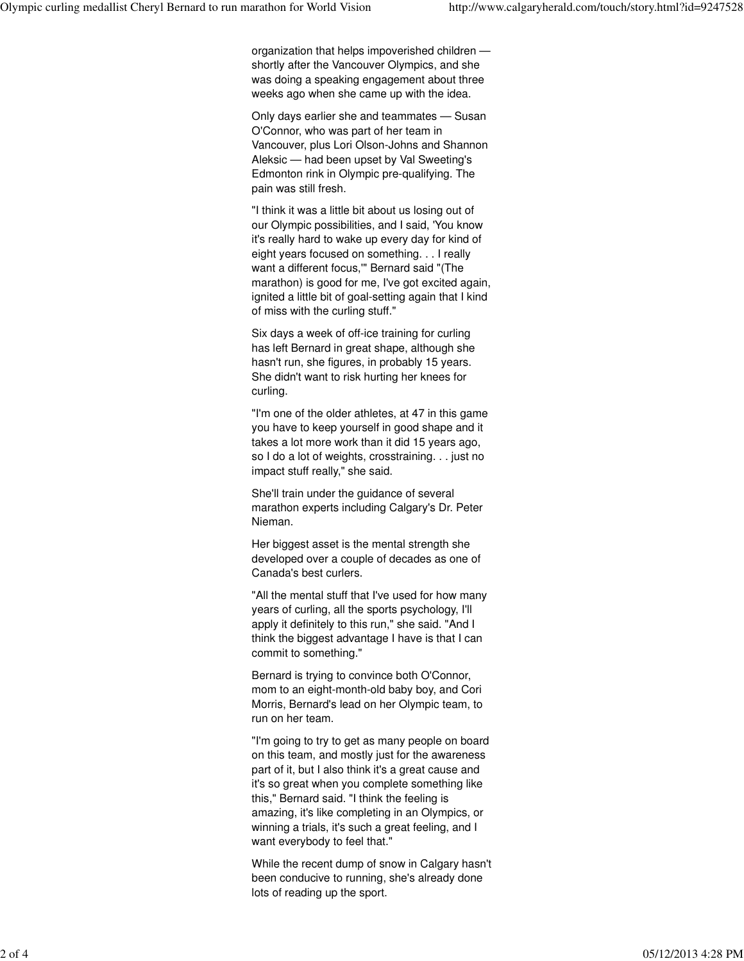organization that helps impoverished children shortly after the Vancouver Olympics, and she was doing a speaking engagement about three weeks ago when she came up with the idea.

Only days earlier she and teammates — Susan O'Connor, who was part of her team in Vancouver, plus Lori Olson-Johns and Shannon Aleksic — had been upset by Val Sweeting's Edmonton rink in Olympic pre-qualifying. The pain was still fresh.

"I think it was a little bit about us losing out of our Olympic possibilities, and I said, 'You know it's really hard to wake up every day for kind of eight years focused on something. . . I really want a different focus,'" Bernard said "(The marathon) is good for me, I've got excited again, ignited a little bit of goal-setting again that I kind of miss with the curling stuff."

Six days a week of off-ice training for curling has left Bernard in great shape, although she hasn't run, she figures, in probably 15 years. She didn't want to risk hurting her knees for curling.

"I'm one of the older athletes, at 47 in this game you have to keep yourself in good shape and it takes a lot more work than it did 15 years ago, so I do a lot of weights, crosstraining. . . just no impact stuff really," she said.

She'll train under the guidance of several marathon experts including Calgary's Dr. Peter Nieman.

Her biggest asset is the mental strength she developed over a couple of decades as one of Canada's best curlers.

"All the mental stuff that I've used for how many years of curling, all the sports psychology, I'll apply it definitely to this run," she said. "And I think the biggest advantage I have is that I can commit to something."

Bernard is trying to convince both O'Connor, mom to an eight-month-old baby boy, and Cori Morris, Bernard's lead on her Olympic team, to run on her team.

"I'm going to try to get as many people on board on this team, and mostly just for the awareness part of it, but I also think it's a great cause and it's so great when you complete something like this," Bernard said. "I think the feeling is amazing, it's like completing in an Olympics, or winning a trials, it's such a great feeling, and I want everybody to feel that."

While the recent dump of snow in Calgary hasn't been conducive to running, she's already done lots of reading up the sport.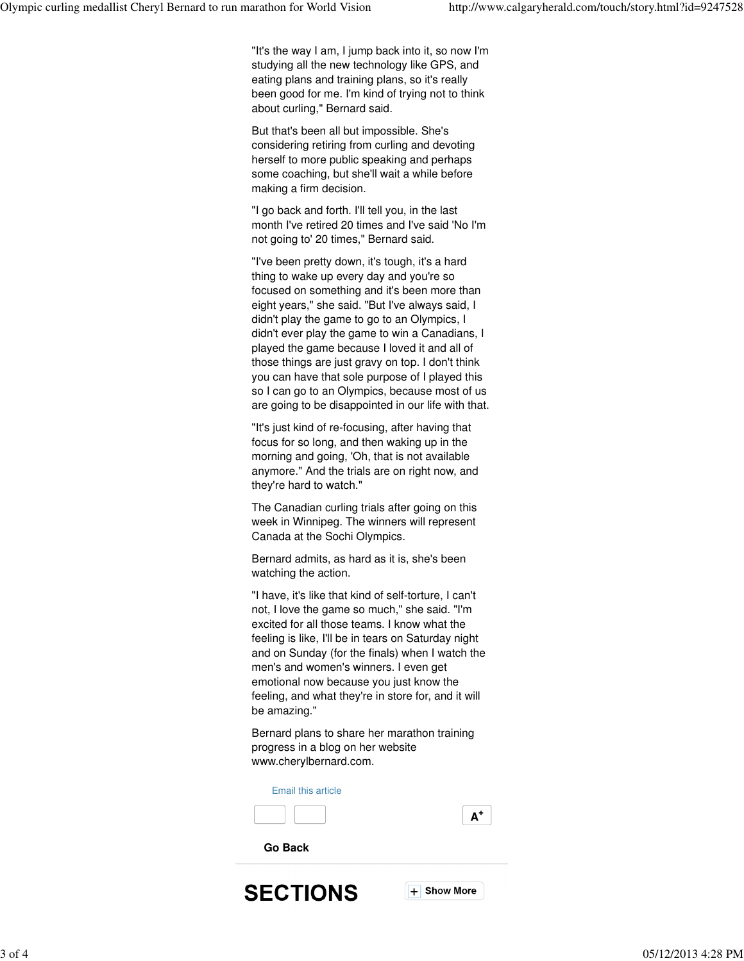"It's the way I am, I jump back into it, so now I'm studying all the new technology like GPS, and eating plans and training plans, so it's really been good for me. I'm kind of trying not to think about curling," Bernard said.

But that's been all but impossible. She's considering retiring from curling and devoting herself to more public speaking and perhaps some coaching, but she'll wait a while before making a firm decision.

"I go back and forth. I'll tell you, in the last month I've retired 20 times and I've said 'No I'm not going to' 20 times," Bernard said.

"I've been pretty down, it's tough, it's a hard thing to wake up every day and you're so focused on something and it's been more than eight years," she said. "But I've always said, I didn't play the game to go to an Olympics, I didn't ever play the game to win a Canadians, I played the game because I loved it and all of those things are just gravy on top. I don't think you can have that sole purpose of I played this so I can go to an Olympics, because most of us are going to be disappointed in our life with that.

"It's just kind of re-focusing, after having that focus for so long, and then waking up in the morning and going, 'Oh, that is not available anymore." And the trials are on right now, and they're hard to watch."

The Canadian curling trials after going on this week in Winnipeg. The winners will represent Canada at the Sochi Olympics.

Bernard admits, as hard as it is, she's been watching the action.

"I have, it's like that kind of self-torture, I can't not, I love the game so much," she said. "I'm excited for all those teams. I know what the feeling is like, I'll be in tears on Saturday night and on Sunday (for the finals) when I watch the men's and women's winners. I even get emotional now because you just know the feeling, and what they're in store for, and it will be amazing."

Bernard plans to share her marathon training progress in a blog on her website www.cherylbernard.com.

Email this article





**Go Back**

**SECTIONS**